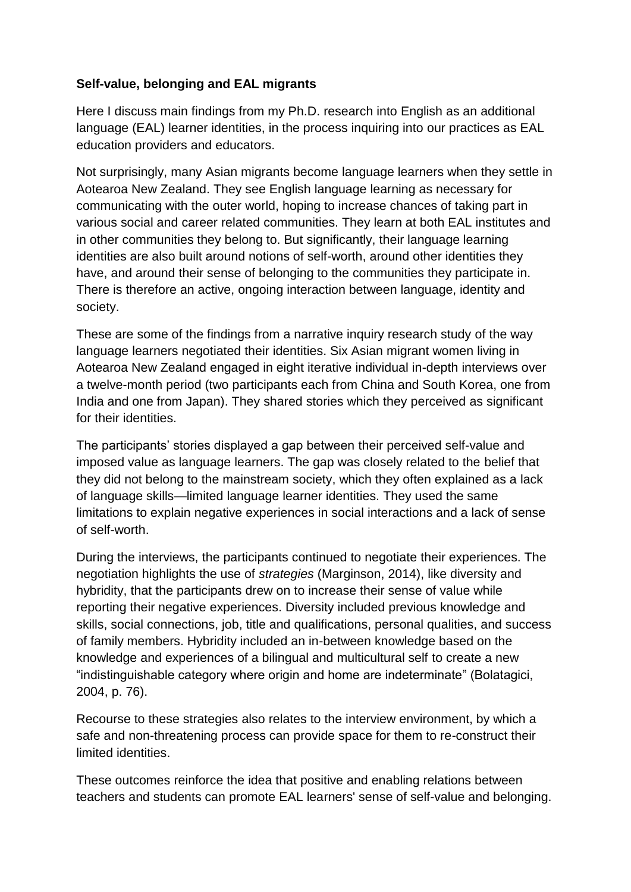## **Self-value, belonging and EAL migrants**

Here I discuss main findings from my Ph.D. research into English as an additional language (EAL) learner identities, in the process inquiring into our practices as EAL education providers and educators.

Not surprisingly, many Asian migrants become language learners when they settle in Aotearoa New Zealand. They see English language learning as necessary for communicating with the outer world, hoping to increase chances of taking part in various social and career related communities. They learn at both EAL institutes and in other communities they belong to. But significantly, their language learning identities are also built around notions of self-worth, around other identities they have, and around their sense of belonging to the communities they participate in. There is therefore an active, ongoing interaction between language, identity and society.

These are some of the findings from a narrative inquiry research study of the way language learners negotiated their identities. Six Asian migrant women living in Aotearoa New Zealand engaged in eight iterative individual in-depth interviews over a twelve-month period (two participants each from China and South Korea, one from India and one from Japan). They shared stories which they perceived as significant for their identities.

The participants' stories displayed a gap between their perceived self-value and imposed value as language learners. The gap was closely related to the belief that they did not belong to the mainstream society, which they often explained as a lack of language skills—limited language learner identities. They used the same limitations to explain negative experiences in social interactions and a lack of sense of self-worth.

During the interviews, the participants continued to negotiate their experiences. The negotiation highlights the use of *strategies* (Marginson, 2014), like diversity and hybridity, that the participants drew on to increase their sense of value while reporting their negative experiences. Diversity included previous knowledge and skills, social connections, job, title and qualifications, personal qualities, and success of family members. Hybridity included an in-between knowledge based on the knowledge and experiences of a bilingual and multicultural self to create a new "indistinguishable category where origin and home are indeterminate" (Bolatagici, 2004, p. 76).

Recourse to these strategies also relates to the interview environment, by which a safe and non-threatening process can provide space for them to re-construct their limited identities.

These outcomes reinforce the idea that positive and enabling relations between teachers and students can promote EAL learners' sense of self-value and belonging.